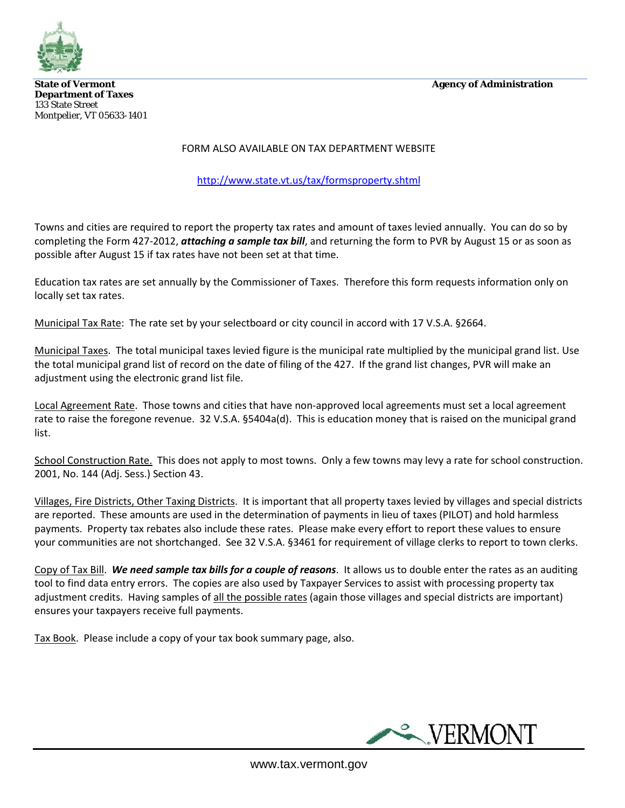**State of Vermont** Agency of Administration



**Department of Taxes**  133 State Street Montpelier, VT 05633-1401

### FORM ALSO AVAILABLE ON TAX DEPARTMENT WEBSITE

<http://www.state.vt.us/tax/formsproperty.shtml>

Towns and cities are required to report the property tax rates and amount of taxes levied annually. You can do so by completing the Form 427-2012, *attaching a sample tax bill*, and returning the form to PVR by August 15 or as soon as possible after August 15 if tax rates have not been set at that time.

Education tax rates are set annually by the Commissioner of Taxes. Therefore this form requests information only on locally set tax rates.

Municipal Tax Rate: The rate set by your selectboard or city council in accord with 17 V.S.A. §2664.

Municipal Taxes. The total municipal taxes levied figure is the municipal rate multiplied by the municipal grand list. Use the total municipal grand list of record on the date of filing of the 427. If the grand list changes, PVR will make an adjustment using the electronic grand list file.

Local Agreement Rate. Those towns and cities that have non-approved local agreements must set a local agreement rate to raise the foregone revenue. 32 V.S.A. §5404a(d). This is education money that is raised on the municipal grand list.

School Construction Rate. This does not apply to most towns. Only a few towns may levy a rate for school construction. 2001, No. 144 (Adj. Sess.) Section 43.

Villages, Fire Districts, Other Taxing Districts. It is important that all property taxes levied by villages and special districts are reported. These amounts are used in the determination of payments in lieu of taxes (PILOT) and hold harmless payments. Property tax rebates also include these rates. Please make every effort to report these values to ensure your communities are not shortchanged. See 32 V.S.A. §3461 for requirement of village clerks to report to town clerks.

Copy of Tax Bill. *We need sample tax bills for a couple of reasons*. It allows us to double enter the rates as an auditing tool to find data entry errors. The copies are also used by Taxpayer Services to assist with processing property tax adjustment credits. Having samples of all the possible rates (again those villages and special districts are important) ensures your taxpayers receive full payments.

Tax Book. Please include a copy of your tax book summary page, also.

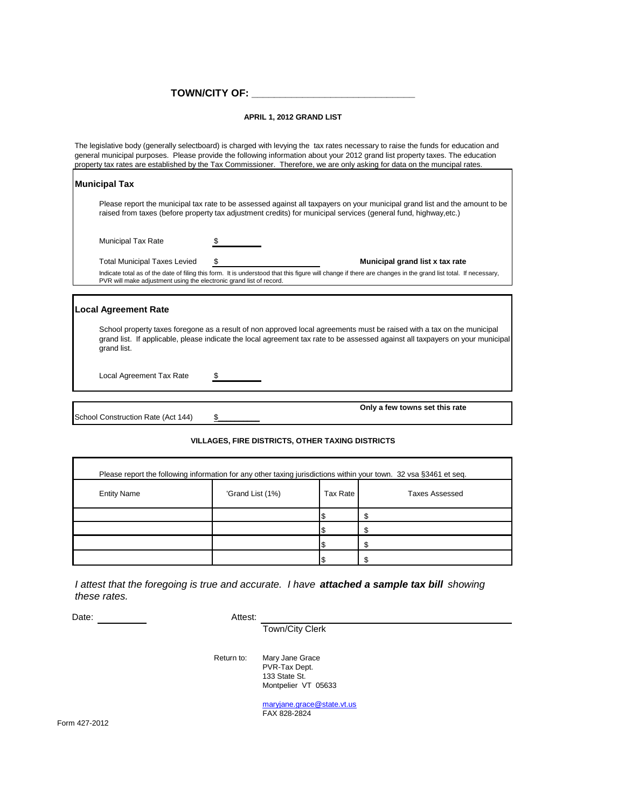**TOWN/CITY OF: \_\_\_\_\_\_\_\_\_\_\_\_\_\_\_\_\_\_\_\_\_\_\_\_\_\_\_\_\_**

#### **APRIL 1, 2012 GRAND LIST**

The legislative body (generally selectboard) is charged with levying the tax rates necessary to raise the funds for education and general municipal purposes. Please provide the following information about your 2012 grand list property taxes. The education property tax rates are established by the Tax Commissioner. Therefore, we are only asking for data on the muncipal rates.

| <b>Municipal Tax</b>                                                                                                                                                                                                                                                    |  |                                 |  |  |  |  |
|-------------------------------------------------------------------------------------------------------------------------------------------------------------------------------------------------------------------------------------------------------------------------|--|---------------------------------|--|--|--|--|
| Please report the municipal tax rate to be assessed against all taxpayers on your municipal grand list and the amount to be<br>raised from taxes (before property tax adjustment credits) for municipal services (general fund, highway,etc.)                           |  |                                 |  |  |  |  |
| <b>Municipal Tax Rate</b>                                                                                                                                                                                                                                               |  |                                 |  |  |  |  |
| <b>Total Municipal Taxes Levied</b>                                                                                                                                                                                                                                     |  | Municipal grand list x tax rate |  |  |  |  |
| Indicate total as of the date of filing this form. It is understood that this figure will change if there are changes in the grand list total. If necessary,<br>PVR will make adjustment using the electronic grand list of record.                                     |  |                                 |  |  |  |  |
| Local Agreement Rate                                                                                                                                                                                                                                                    |  |                                 |  |  |  |  |
| School property taxes foregone as a result of non approved local agreements must be raised with a tax on the municipal<br>grand list. If applicable, please indicate the local agreement tax rate to be assessed against all taxpayers on your municipal<br>grand list. |  |                                 |  |  |  |  |

Local Agreement Tax Rate \$

School Construction Rate (Act 144) \$

**Only a few towns set this rate**

# **VILLAGES, FIRE DISTRICTS, OTHER TAXING DISTRICTS**

| Please report the following information for any other taxing jurisdictions within your town. 32 vsa §3461 et seq. |                  |                 |                       |  |  |  |
|-------------------------------------------------------------------------------------------------------------------|------------------|-----------------|-----------------------|--|--|--|
| <b>Entity Name</b>                                                                                                | 'Grand List (1%) | <b>Tax Rate</b> | <b>Taxes Assessed</b> |  |  |  |
|                                                                                                                   |                  |                 |                       |  |  |  |
|                                                                                                                   |                  |                 |                       |  |  |  |
|                                                                                                                   |                  |                 |                       |  |  |  |
|                                                                                                                   |                  |                 |                       |  |  |  |

*I attest that the foregoing is true and accurate. I have attached a sample tax bill showing these rates.*

Date: Note: Note: Note: Note: Note: Note: Note: Note: Note: Note: Note: Note: Note: Note: Note: Note: Note: Note: Note: Note: Note: Note: Note: Note: Note: Note: Note: Note: Note: Note: Note: Note: Note: Note: Note: Note:

Town/City Clerk

Return to: Mary Jane Grace PVR-Tax Dept. 133 State St. Montpelier VT 05633

> [maryjane.grace@state.vt.us](mailto:maryjane.grace@state.vt.us) FAX 828-2824